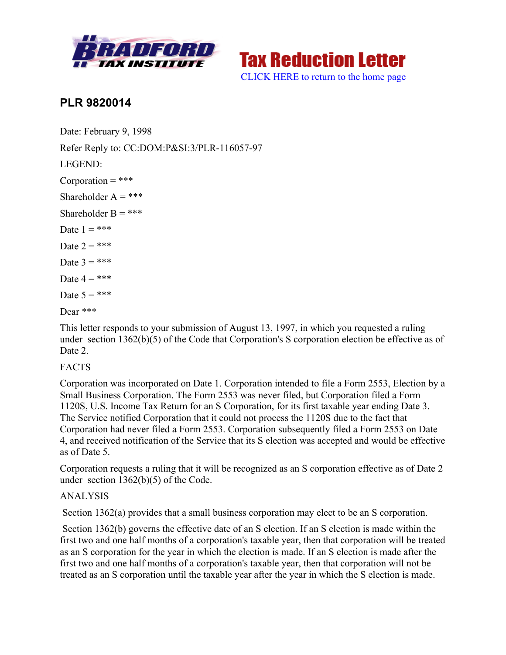



## **PLR 9820014**

Date: February 9, 1998 Refer Reply to: CC:DOM:P&SI:3/PLR-116057-97 LEGEND:  $Corporation = ***$ Shareholder  $A =$ \*\*\* Shareholder  $B = ***$ Date  $1 = ***$ Date  $2 = ***$ Date  $3 = ***$ Date  $4 = ***$ Date  $5 = ***$ Dear \*\*\*

This letter responds to your submission of August 13, 1997, in which you requested a ruling under section 1362(b)(5) of the Code that Corporation's S corporation election be effective as of Date 2.

## **FACTS**

Corporation was incorporated on Date 1. Corporation intended to file a Form 2553, Election by a Small Business Corporation. The Form 2553 was never filed, but Corporation filed a Form 1120S, U.S. Income Tax Return for an S Corporation, for its first taxable year ending Date 3. The Service notified Corporation that it could not process the 1120S due to the fact that Corporation had never filed a Form 2553. Corporation subsequently filed a Form 2553 on Date 4, and received notification of the Service that its S election was accepted and would be effective as of Date 5.

Corporation requests a ruling that it will be recognized as an S corporation effective as of Date 2 under section 1362(b)(5) of the Code.

## ANALYSIS

Section 1362(a) provides that a small business corporation may elect to be an S corporation.

Section 1362(b) governs the effective date of an S election. If an S election is made within the first two and one half months of a corporation's taxable year, then that corporation will be treated as an S corporation for the year in which the election is made. If an S election is made after the first two and one half months of a corporation's taxable year, then that corporation will not be treated as an S corporation until the taxable year after the year in which the S election is made.